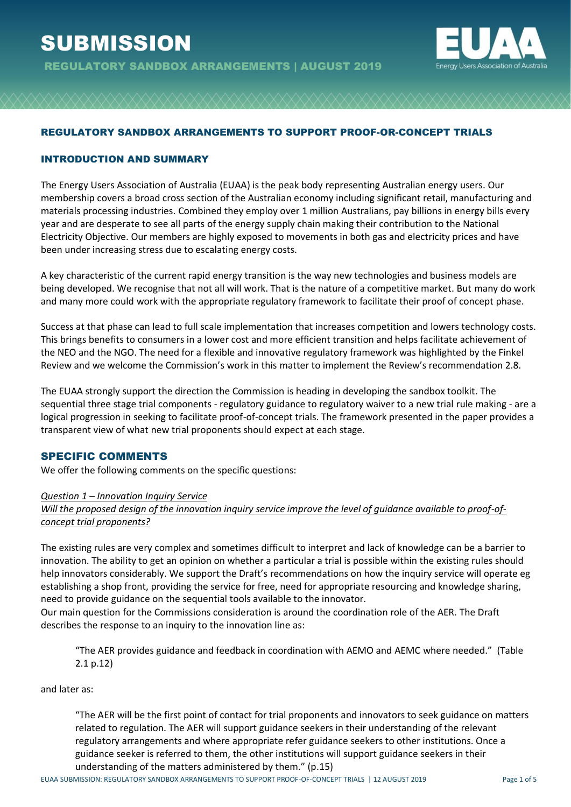

### REGULATORY SANDBOX ARRANGEMENTS TO SUPPORT PROOF-OR-CONCEPT TRIALS

#### INTRODUCTION AND SUMMARY

The Energy Users Association of Australia (EUAA) is the peak body representing Australian energy users. Our membership covers a broad cross section of the Australian economy including significant retail, manufacturing and materials processing industries. Combined they employ over 1 million Australians, pay billions in energy bills every year and are desperate to see all parts of the energy supply chain making their contribution to the National Electricity Objective. Our members are highly exposed to movements in both gas and electricity prices and have been under increasing stress due to escalating energy costs.

A key characteristic of the current rapid energy transition is the way new technologies and business models are being developed. We recognise that not all will work. That is the nature of a competitive market. But many do work and many more could work with the appropriate regulatory framework to facilitate their proof of concept phase.

Success at that phase can lead to full scale implementation that increases competition and lowers technology costs. This brings benefits to consumers in a lower cost and more efficient transition and helps facilitate achievement of the NEO and the NGO. The need for a flexible and innovative regulatory framework was highlighted by the Finkel Review and we welcome the Commission's work in this matter to implement the Review's recommendation 2.8.

The EUAA strongly support the direction the Commission is heading in developing the sandbox toolkit. The sequential three stage trial components - regulatory guidance to regulatory waiver to a new trial rule making - are a logical progression in seeking to facilitate proof-of-concept trials. The framework presented in the paper provides a transparent view of what new trial proponents should expect at each stage.

#### SPECIFIC COMMENTS

We offer the following comments on the specific questions:

#### *Question 1 – Innovation Inquiry Service*

*Will the proposed design of the innovation inquiry service improve the level of guidance available to proof-ofconcept trial proponents?*

The existing rules are very complex and sometimes difficult to interpret and lack of knowledge can be a barrier to innovation. The ability to get an opinion on whether a particular a trial is possible within the existing rules should help innovators considerably. We support the Draft's recommendations on how the inquiry service will operate eg establishing a shop front, providing the service for free, need for appropriate resourcing and knowledge sharing, need to provide guidance on the sequential tools available to the innovator.

Our main question for the Commissions consideration is around the coordination role of the AER. The Draft describes the response to an inquiry to the innovation line as:

"The AER provides guidance and feedback in coordination with AEMO and AEMC where needed." (Table 2.1 p.12)

and later as:

"The AER will be the first point of contact for trial proponents and innovators to seek guidance on matters related to regulation. The AER will support guidance seekers in their understanding of the relevant regulatory arrangements and where appropriate refer guidance seekers to other institutions. Once a guidance seeker is referred to them, the other institutions will support guidance seekers in their understanding of the matters administered by them." (p.15)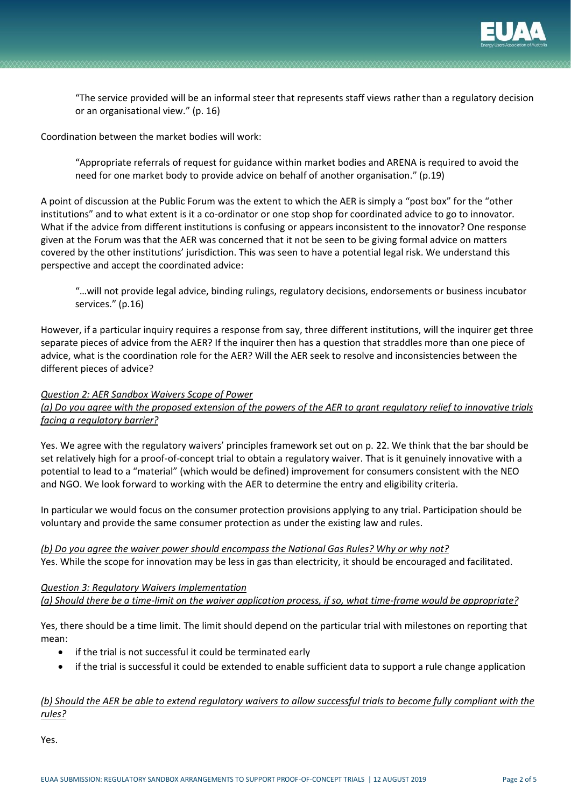

"The service provided will be an informal steer that represents staff views rather than a regulatory decision or an organisational view." (p. 16)

Coordination between the market bodies will work:

"Appropriate referrals of request for guidance within market bodies and ARENA is required to avoid the need for one market body to provide advice on behalf of another organisation." (p.19)

A point of discussion at the Public Forum was the extent to which the AER is simply a "post box" for the "other institutions" and to what extent is it a co-ordinator or one stop shop for coordinated advice to go to innovator. What if the advice from different institutions is confusing or appears inconsistent to the innovator? One response given at the Forum was that the AER was concerned that it not be seen to be giving formal advice on matters covered by the other institutions' jurisdiction. This was seen to have a potential legal risk. We understand this perspective and accept the coordinated advice:

"…will not provide legal advice, binding rulings, regulatory decisions, endorsements or business incubator services." (p.16)

However, if a particular inquiry requires a response from say, three different institutions, will the inquirer get three separate pieces of advice from the AER? If the inquirer then has a question that straddles more than one piece of advice, what is the coordination role for the AER? Will the AER seek to resolve and inconsistencies between the different pieces of advice?

#### *Question 2: AER Sandbox Waivers Scope of Power*

*(a) Do you agree with the proposed extension of the powers of the AER to grant regulatory relief to innovative trials facing a regulatory barrier?*

Yes. We agree with the regulatory waivers' principles framework set out on p. 22. We think that the bar should be set relatively high for a proof-of-concept trial to obtain a regulatory waiver. That is it genuinely innovative with a potential to lead to a "material" (which would be defined) improvement for consumers consistent with the NEO and NGO. We look forward to working with the AER to determine the entry and eligibility criteria.

In particular we would focus on the consumer protection provisions applying to any trial. Participation should be voluntary and provide the same consumer protection as under the existing law and rules.

*(b) Do you agree the waiver power should encompass the National Gas Rules? Why or why not?* Yes. While the scope for innovation may be less in gas than electricity, it should be encouraged and facilitated.

*Question 3: Regulatory Waivers Implementation (a) Should there be a time-limit on the waiver application process, if so, what time-frame would be appropriate?*

Yes, there should be a time limit. The limit should depend on the particular trial with milestones on reporting that mean:

- if the trial is not successful it could be terminated early
- if the trial is successful it could be extended to enable sufficient data to support a rule change application

### *(b) Should the AER be able to extend regulatory waivers to allow successful trials to become fully compliant with the rules?*

Yes.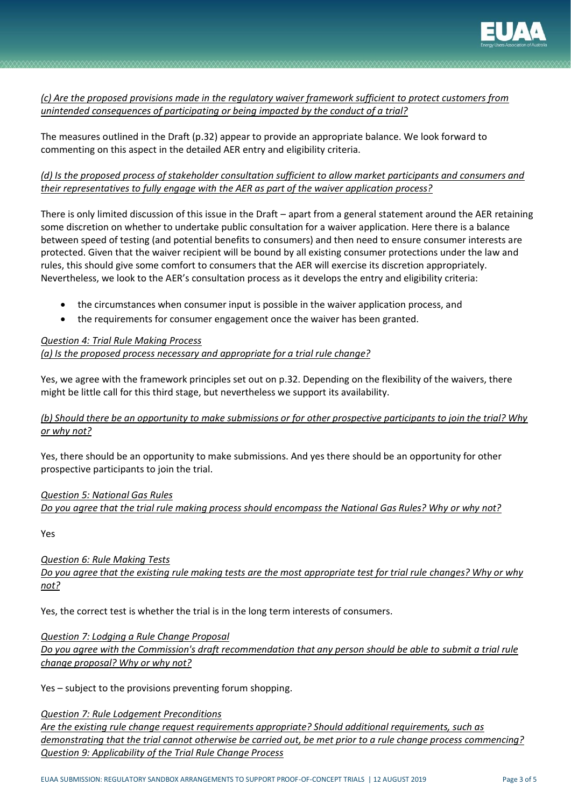

## *(c) Are the proposed provisions made in the regulatory waiver framework sufficient to protect customers from unintended consequences of participating or being impacted by the conduct of a trial?*

The measures outlined in the Draft (p.32) appear to provide an appropriate balance. We look forward to commenting on this aspect in the detailed AER entry and eligibility criteria.

## *(d) Is the proposed process of stakeholder consultation sufficient to allow market participants and consumers and their representatives to fully engage with the AER as part of the waiver application process?*

There is only limited discussion of this issue in the Draft – apart from a general statement around the AER retaining some discretion on whether to undertake public consultation for a waiver application. Here there is a balance between speed of testing (and potential benefits to consumers) and then need to ensure consumer interests are protected. Given that the waiver recipient will be bound by all existing consumer protections under the law and rules, this should give some comfort to consumers that the AER will exercise its discretion appropriately. Nevertheless, we look to the AER's consultation process as it develops the entry and eligibility criteria:

- the circumstances when consumer input is possible in the waiver application process, and
- the requirements for consumer engagement once the waiver has been granted.

## *Question 4: Trial Rule Making Process (a) Is the proposed process necessary and appropriate for a trial rule change?*

Yes, we agree with the framework principles set out on p.32. Depending on the flexibility of the waivers, there might be little call for this third stage, but nevertheless we support its availability.

## *(b) Should there be an opportunity to make submissions or for other prospective participants to join the trial? Why or why not?*

Yes, there should be an opportunity to make submissions. And yes there should be an opportunity for other prospective participants to join the trial.

# *Question 5: National Gas Rules Do you agree that the trial rule making process should encompass the National Gas Rules? Why or why not?*

Yes

## *Question 6: Rule Making Tests*

*Do you agree that the existing rule making tests are the most appropriate test for trial rule changes? Why or why not?*

Yes, the correct test is whether the trial is in the long term interests of consumers.

#### *Question 7: Lodging a Rule Change Proposal*

*Do you agree with the Commission's draft recommendation that any person should be able to submit a trial rule change proposal? Why or why not?*

Yes – subject to the provisions preventing forum shopping.

*Question 7: Rule Lodgement Preconditions* 

*Are the existing rule change request requirements appropriate? Should additional requirements, such as demonstrating that the trial cannot otherwise be carried out, be met prior to a rule change process commencing? Question 9: Applicability of the Trial Rule Change Process*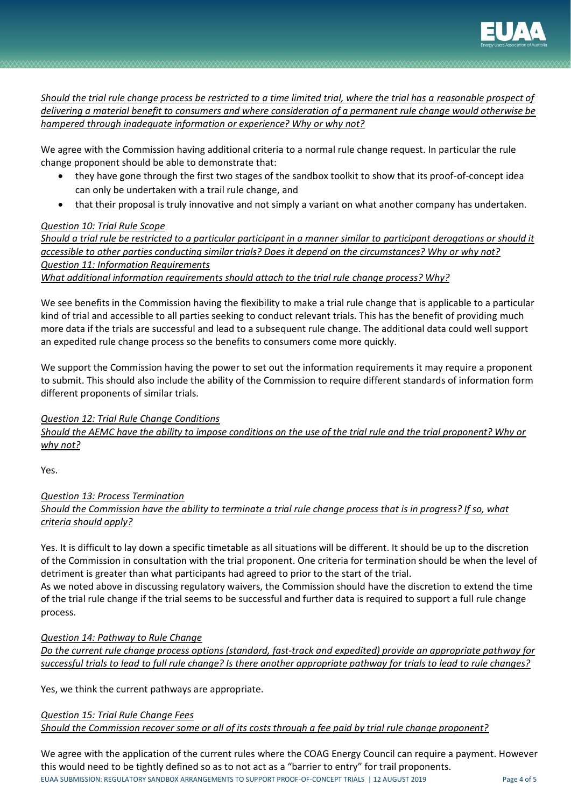

*Should the trial rule change process be restricted to a time limited trial, where the trial has a reasonable prospect of delivering a material benefit to consumers and where consideration of a permanent rule change would otherwise be hampered through inadequate information or experience? Why or why not?*

We agree with the Commission having additional criteria to a normal rule change request. In particular the rule change proponent should be able to demonstrate that:

- they have gone through the first two stages of the sandbox toolkit to show that its proof-of-concept idea can only be undertaken with a trail rule change, and
- that their proposal is truly innovative and not simply a variant on what another company has undertaken.

### *Question 10: Trial Rule Scope*

*Should a trial rule be restricted to a particular participant in a manner similar to participant derogations or should it accessible to other parties conducting similar trials? Does it depend on the circumstances? Why or why not? Question 11: Information Requirements What additional information requirements should attach to the trial rule change process? Why?*

We see benefits in the Commission having the flexibility to make a trial rule change that is applicable to a particular

kind of trial and accessible to all parties seeking to conduct relevant trials. This has the benefit of providing much more data if the trials are successful and lead to a subsequent rule change. The additional data could well support an expedited rule change process so the benefits to consumers come more quickly.

We support the Commission having the power to set out the information requirements it may require a proponent to submit. This should also include the ability of the Commission to require different standards of information form different proponents of similar trials.

*Question 12: Trial Rule Change Conditions Should the AEMC have the ability to impose conditions on the use of the trial rule and the trial proponent? Why or why not?*

Yes.

*Question 13: Process Termination Should the Commission have the ability to terminate a trial rule change process that is in progress? If so, what criteria should apply?*

Yes. It is difficult to lay down a specific timetable as all situations will be different. It should be up to the discretion of the Commission in consultation with the trial proponent. One criteria for termination should be when the level of detriment is greater than what participants had agreed to prior to the start of the trial.

As we noted above in discussing regulatory waivers, the Commission should have the discretion to extend the time of the trial rule change if the trial seems to be successful and further data is required to support a full rule change process.

*Question 14: Pathway to Rule Change* 

*Do the current rule change process options (standard, fast-track and expedited) provide an appropriate pathway for successful trials to lead to full rule change? Is there another appropriate pathway for trials to lead to rule changes?*

Yes, we think the current pathways are appropriate.

*Question 15: Trial Rule Change Fees Should the Commission recover some or all of its costs through a fee paid by trial rule change proponent?*

EUAA SUBMISSION: REGULATORY SANDBOX ARRANGEMENTS TO SUPPORT PROOF-OF-CONCEPT TRIALS | 12 AUGUST 2019 Page 4 of 5 We agree with the application of the current rules where the COAG Energy Council can require a payment. However this would need to be tightly defined so as to not act as a "barrier to entry" for trail proponents.